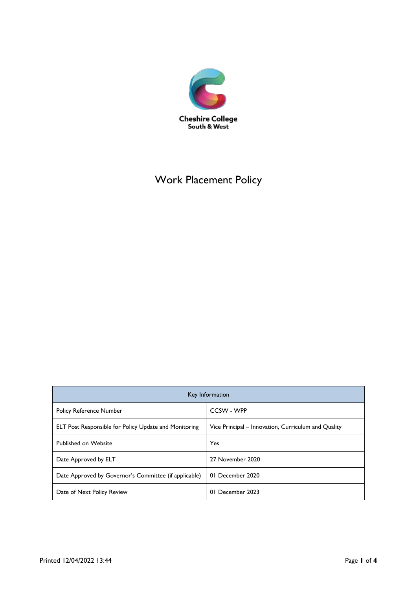

# Work Placement Policy

| Key Information                                              |                                                     |
|--------------------------------------------------------------|-----------------------------------------------------|
| <b>Policy Reference Number</b>                               | CCSW - WPP                                          |
| <b>ELT Post Responsible for Policy Update and Monitoring</b> | Vice Principal – Innovation, Curriculum and Quality |
| Published on Website                                         | Yes                                                 |
| Date Approved by ELT                                         | 27 November 2020                                    |
| Date Approved by Governor's Committee (if applicable)        | 01 December 2020                                    |
| Date of Next Policy Review                                   | 01 December 2023                                    |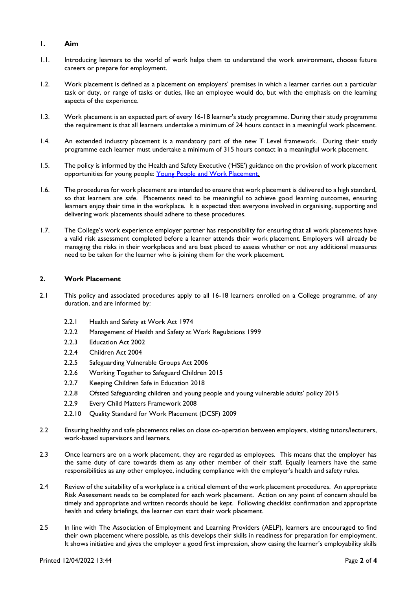## **1. Aim**

- 1.1. Introducing learners to the world of work helps them to understand the work environment, choose future careers or prepare for employment.
- 1.2. Work placement is defined as a placement on employers' premises in which a learner carries out a particular task or duty, or range of tasks or duties, like an employee would do, but with the emphasis on the learning aspects of the experience.
- 1.3. Work placement is an expected part of every 16-18 learner's study programme. During their study programme the requirement is that all learners undertake a minimum of 24 hours contact in a meaningful work placement.
- 1.4. An extended industry placement is a mandatory part of the new T Level framework. During their study programme each learner must undertake a minimum of 315 hours contact in a meaningful work placement.
- 1.5. The policy is informed by the Health and Safety Executive ('HSE') guidance on the provision of work placement opportunities for young people: [Young People and Work Placement.](http://www.hse.gov.uk/pubns/indg364.pdf)
- 1.6. The procedures for work placement are intended to ensure that work placement is delivered to a high standard, so that learners are safe. Placements need to be meaningful to achieve good learning outcomes, ensuring learners enjoy their time in the workplace. It is expected that everyone involved in organising, supporting and delivering work placements should adhere to these procedures.
- 1.7. The College's work experience employer partner has responsibility for ensuring that all work placements have a valid risk assessment completed before a learner attends their work placement. Employers will already be managing the risks in their workplaces and are best placed to assess whether or not any additional measures need to be taken for the learner who is joining them for the work placement.

## **2. Work Placement**

- 2.1 This policy and associated procedures apply to all 16-18 learners enrolled on a College programme, of any duration, and are informed by:
	- 2.2.1 Health and Safety at Work Act 1974
	- 2.2.2 Management of Health and Safety at Work Regulations 1999
	- 2.2.3 Education Act 2002
	- 2.2.4 Children Act 2004
	- 2.2.5 Safeguarding Vulnerable Groups Act 2006
	- 2.2.6 Working Together to Safeguard Children 2015
	- 2.2.7 Keeping Children Safe in Education 2018
	- 2.2.8 Ofsted Safeguarding children and young people and young vulnerable adults' policy 2015
	- 2.2.9 Every Child Matters Framework 2008
	- 2.2.10 Quality Standard for Work Placement (DCSF) 2009
- 2.2 Ensuring healthy and safe placements relies on close co-operation between employers, visiting tutors/lecturers, work-based supervisors and learners.
- 2.3 Once learners are on a work placement, they are regarded as employees. This means that the employer has the same duty of care towards them as any other member of their staff. Equally learners have the same responsibilities as any other employee, including compliance with the employer's health and safety rules.
- 2.4 Review of the suitability of a workplace is a critical element of the work placement procedures. An appropriate Risk Assessment needs to be completed for each work placement. Action on any point of concern should be timely and appropriate and written records should be kept. Following checklist confirmation and appropriate health and safety briefings, the learner can start their work placement.
- 2.5 In line with The Association of Employment and Learning Providers (AELP), learners are encouraged to find their own placement where possible, as this develops their skills in readiness for preparation for employment. It shows initiative and gives the employer a good first impression, show casing the learner's employability skills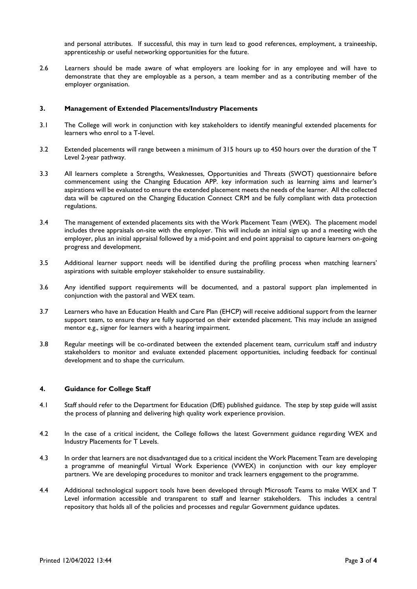and personal attributes. If successful, this may in turn lead to good references, employment, a traineeship, apprenticeship or useful networking opportunities for the future.

2.6 Learners should be made aware of what employers are looking for in any employee and will have to demonstrate that they are employable as a person, a team member and as a contributing member of the employer organisation.

### **3. Management of Extended Placements/Industry Placements**

- 3.1 The College will work in conjunction with key stakeholders to identify meaningful extended placements for learners who enrol to a T-level.
- 3.2 Extended placements will range between a minimum of 315 hours up to 450 hours over the duration of the T Level 2-year pathway.
- 3.3 All learners complete a Strengths, Weaknesses, Opportunities and Threats (SWOT) questionnaire before commencement using the Changing Education APP. key information such as learning aims and learner's aspirations will be evaluated to ensure the extended placement meets the needs of the learner. All the collected data will be captured on the Changing Education Connect CRM and be fully compliant with data protection regulations.
- 3.4 The management of extended placements sits with the Work Placement Team (WEX). The placement model includes three appraisals on-site with the employer. This will include an initial sign up and a meeting with the employer, plus an initial appraisal followed by a mid-point and end point appraisal to capture learners on-going progress and development.
- 3.5 Additional learner support needs will be identified during the profiling process when matching learners' aspirations with suitable employer stakeholder to ensure sustainability.
- 3.6 Any identified support requirements will be documented, and a pastoral support plan implemented in conjunction with the pastoral and WEX team.
- 3.7 Learners who have an Education Health and Care Plan (EHCP) will receive additional support from the learner support team, to ensure they are fully supported on their extended placement. This may include an assigned mentor e.g., signer for learners with a hearing impairment.
- 3.8 Regular meetings will be co-ordinated between the extended placement team, curriculum staff and industry stakeholders to monitor and evaluate extended placement opportunities, including feedback for continual development and to shape the curriculum.

#### **4. Guidance for College Staff**

- 4.1 Staff should refer to the Department for Education (DfE) published guidance. The step by step guide will assist the process of planning and delivering high quality work experience provision.
- 4.2 In the case of a critical incident, the College follows the latest Government guidance regarding WEX and Industry Placements for T Levels.
- 4.3 In order that learners are not disadvantaged due to a critical incident the Work Placement Team are developing a programme of meaningful Virtual Work Experience (VWEX) in conjunction with our key employer partners. We are developing procedures to monitor and track learners engagement to the programme.
- 4.4 Additional technological support tools have been developed through Microsoft Teams to make WEX and T Level information accessible and transparent to staff and learner stakeholders. This includes a central repository that holds all of the policies and processes and regular Government guidance updates.